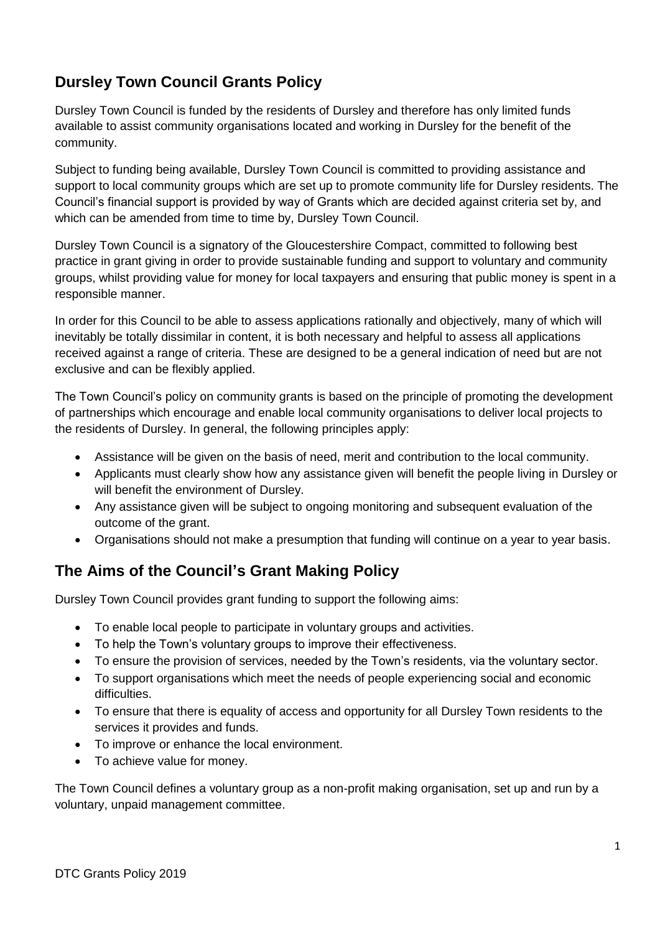# **Dursley Town Council Grants Policy**

Dursley Town Council is funded by the residents of Dursley and therefore has only limited funds available to assist community organisations located and working in Dursley for the benefit of the community.

Subject to funding being available, Dursley Town Council is committed to providing assistance and support to local community groups which are set up to promote community life for Dursley residents. The Council's financial support is provided by way of Grants which are decided against criteria set by, and which can be amended from time to time by, Dursley Town Council.

Dursley Town Council is a signatory of the Gloucestershire Compact, committed to following best practice in grant giving in order to provide sustainable funding and support to voluntary and community groups, whilst providing value for money for local taxpayers and ensuring that public money is spent in a responsible manner.

In order for this Council to be able to assess applications rationally and objectively, many of which will inevitably be totally dissimilar in content, it is both necessary and helpful to assess all applications received against a range of criteria. These are designed to be a general indication of need but are not exclusive and can be flexibly applied.

The Town Council's policy on community grants is based on the principle of promoting the development of partnerships which encourage and enable local community organisations to deliver local projects to the residents of Dursley. In general, the following principles apply:

- Assistance will be given on the basis of need, merit and contribution to the local community.
- Applicants must clearly show how any assistance given will benefit the people living in Dursley or will benefit the environment of Dursley.
- Any assistance given will be subject to ongoing monitoring and subsequent evaluation of the outcome of the grant.
- Organisations should not make a presumption that funding will continue on a year to year basis.

## **The Aims of the Council's Grant Making Policy**

Dursley Town Council provides grant funding to support the following aims:

- To enable local people to participate in voluntary groups and activities.
- To help the Town's voluntary groups to improve their effectiveness.
- To ensure the provision of services, needed by the Town's residents, via the voluntary sector.
- To support organisations which meet the needs of people experiencing social and economic difficulties.
- To ensure that there is equality of access and opportunity for all Dursley Town residents to the services it provides and funds.
- To improve or enhance the local environment.
- To achieve value for money.

The Town Council defines a voluntary group as a non-profit making organisation, set up and run by a voluntary, unpaid management committee.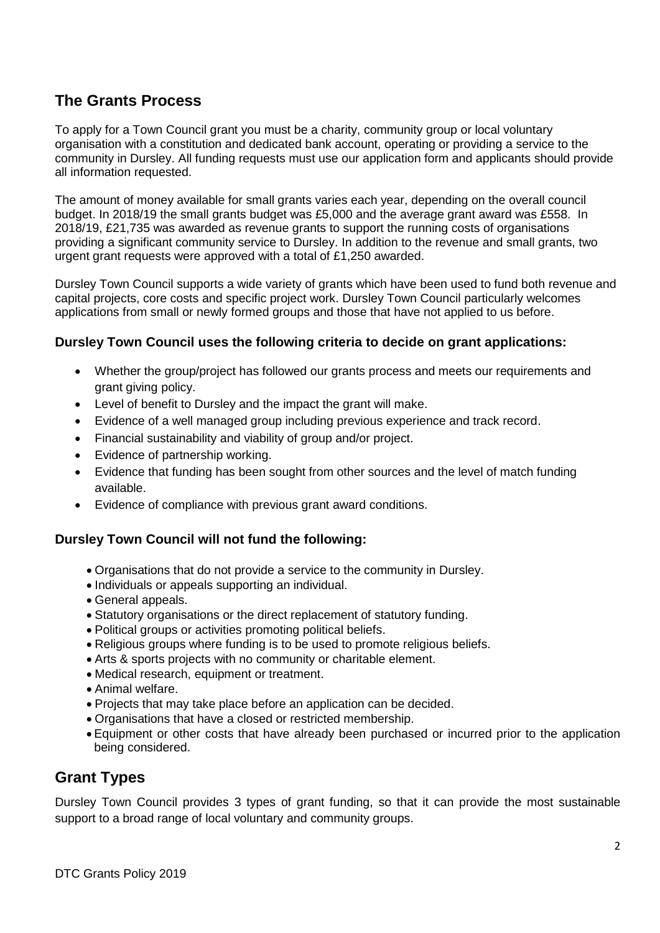## **The Grants Process**

To apply for a Town Council grant you must be a charity, community group or local voluntary organisation with a constitution and dedicated bank account, operating or providing a service to the community in Dursley. All funding requests must use our application form and applicants should provide all information requested.

The amount of money available for small grants varies each year, depending on the overall council budget. In 2018/19 the small grants budget was £5,000 and the average grant award was £558. In 2018/19, £21,735 was awarded as revenue grants to support the running costs of organisations providing a significant community service to Dursley. In addition to the revenue and small grants, two urgent grant requests were approved with a total of £1,250 awarded.

Dursley Town Council supports a wide variety of grants which have been used to fund both revenue and capital projects, core costs and specific project work. Dursley Town Council particularly welcomes applications from small or newly formed groups and those that have not applied to us before.

## **Dursley Town Council uses the following criteria to decide on grant applications:**

- Whether the group/project has followed our grants process and meets our requirements and grant giving policy.
- Level of benefit to Dursley and the impact the grant will make.
- Evidence of a well managed group including previous experience and track record.
- Financial sustainability and viability of group and/or project.
- Evidence of partnership working.
- Evidence that funding has been sought from other sources and the level of match funding available.
- Evidence of compliance with previous grant award conditions.

### **Dursley Town Council will not fund the following:**

- Organisations that do not provide a service to the community in Dursley.
- Individuals or appeals supporting an individual.
- General appeals.
- Statutory organisations or the direct replacement of statutory funding.
- Political groups or activities promoting political beliefs.
- Religious groups where funding is to be used to promote religious beliefs.
- Arts & sports projects with no community or charitable element.
- Medical research, equipment or treatment.
- Animal welfare.
- Projects that may take place before an application can be decided.
- Organisations that have a closed or restricted membership.
- Equipment or other costs that have already been purchased or incurred prior to the application being considered.

## **Grant Types**

Dursley Town Council provides 3 types of grant funding, so that it can provide the most sustainable support to a broad range of local voluntary and community groups.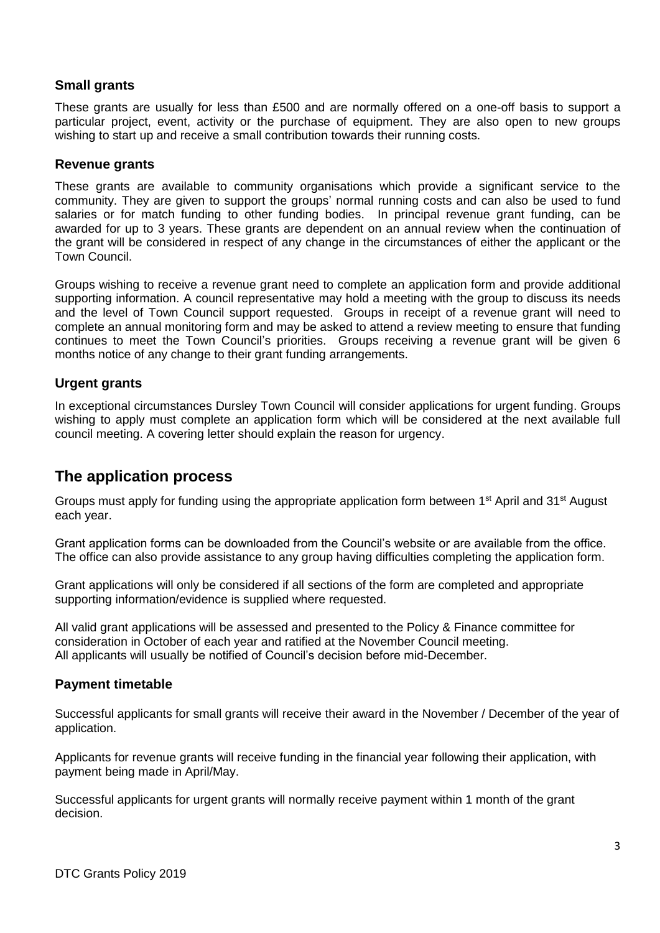## **Small grants**

These grants are usually for less than £500 and are normally offered on a one-off basis to support a particular project, event, activity or the purchase of equipment. They are also open to new groups wishing to start up and receive a small contribution towards their running costs.

#### **Revenue grants**

These grants are available to community organisations which provide a significant service to the community. They are given to support the groups' normal running costs and can also be used to fund salaries or for match funding to other funding bodies. In principal revenue grant funding, can be awarded for up to 3 years. These grants are dependent on an annual review when the continuation of the grant will be considered in respect of any change in the circumstances of either the applicant or the Town Council.

Groups wishing to receive a revenue grant need to complete an application form and provide additional supporting information. A council representative may hold a meeting with the group to discuss its needs and the level of Town Council support requested. Groups in receipt of a revenue grant will need to complete an annual monitoring form and may be asked to attend a review meeting to ensure that funding continues to meet the Town Council's priorities. Groups receiving a revenue grant will be given 6 months notice of any change to their grant funding arrangements.

### **Urgent grants**

In exceptional circumstances Dursley Town Council will consider applications for urgent funding. Groups wishing to apply must complete an application form which will be considered at the next available full council meeting. A covering letter should explain the reason for urgency.

## **The application process**

Groups must apply for funding using the appropriate application form between 1<sup>st</sup> April and 31<sup>st</sup> August each year.

Grant application forms can be downloaded from the Council's website or are available from the office. The office can also provide assistance to any group having difficulties completing the application form.

Grant applications will only be considered if all sections of the form are completed and appropriate supporting information/evidence is supplied where requested.

All valid grant applications will be assessed and presented to the Policy & Finance committee for consideration in October of each year and ratified at the November Council meeting. All applicants will usually be notified of Council's decision before mid-December.

### **Payment timetable**

Successful applicants for small grants will receive their award in the November / December of the year of application.

Applicants for revenue grants will receive funding in the financial year following their application, with payment being made in April/May.

Successful applicants for urgent grants will normally receive payment within 1 month of the grant decision.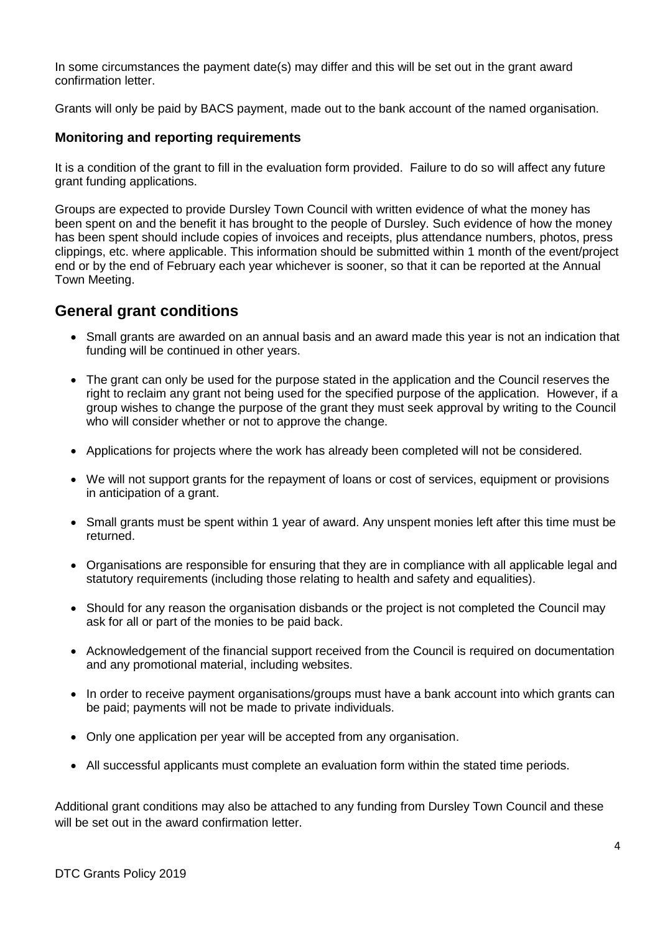In some circumstances the payment date(s) may differ and this will be set out in the grant award confirmation letter.

Grants will only be paid by BACS payment, made out to the bank account of the named organisation.

### **Monitoring and reporting requirements**

It is a condition of the grant to fill in the evaluation form provided. Failure to do so will affect any future grant funding applications.

Groups are expected to provide Dursley Town Council with written evidence of what the money has been spent on and the benefit it has brought to the people of Dursley. Such evidence of how the money has been spent should include copies of invoices and receipts, plus attendance numbers, photos, press clippings, etc. where applicable. This information should be submitted within 1 month of the event/project end or by the end of February each year whichever is sooner, so that it can be reported at the Annual Town Meeting.

## **General grant conditions**

- Small grants are awarded on an annual basis and an award made this year is not an indication that funding will be continued in other years.
- The grant can only be used for the purpose stated in the application and the Council reserves the right to reclaim any grant not being used for the specified purpose of the application. However, if a group wishes to change the purpose of the grant they must seek approval by writing to the Council who will consider whether or not to approve the change.
- Applications for projects where the work has already been completed will not be considered.
- We will not support grants for the repayment of loans or cost of services, equipment or provisions in anticipation of a grant.
- Small grants must be spent within 1 year of award. Any unspent monies left after this time must be returned.
- Organisations are responsible for ensuring that they are in compliance with all applicable legal and statutory requirements (including those relating to health and safety and equalities).
- Should for any reason the organisation disbands or the project is not completed the Council may ask for all or part of the monies to be paid back.
- Acknowledgement of the financial support received from the Council is required on documentation and any promotional material, including websites.
- In order to receive payment organisations/groups must have a bank account into which grants can be paid; payments will not be made to private individuals.
- Only one application per year will be accepted from any organisation.
- All successful applicants must complete an evaluation form within the stated time periods.

Additional grant conditions may also be attached to any funding from Dursley Town Council and these will be set out in the award confirmation letter.